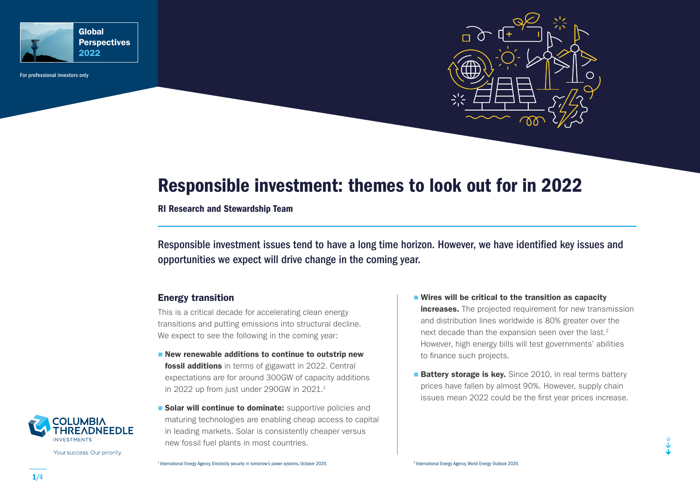

For professional investors only



# Responsible investment: themes to look out for in 2022

RI Research and Stewardship Team

Responsible investment issues tend to have a long time horizon. However, we have identified key issues and opportunities we expect will drive change in the coming year.

## Energy transition

This is a critical decade for accelerating clean energy transitions and putting emissions into structural decline. We expect to see the following in the coming year:

- $\blacksquare$  New renewable additions to continue to outstrip new **fossil additions** in terms of gigawatt in 2022. Central expectations are for around 300GW of capacity additions in 2022 up from just under 290GW in  $2021<sup>1</sup>$
- **Solar will continue to dominate:** supportive policies and maturing technologies are enabling cheap access to capital in leading markets. Solar is consistently cheaper versus new fossil fuel plants in most countries.
- Wires will be critical to the transition as capacity increases. The projected requirement for new transmission and distribution lines worldwide is 80% greater over the next decade than the expansion seen over the last.<sup>2</sup> However, high energy bills will test governments' abilities to finance such projects.
- **Battery storage is key.** Since 2010, in real terms battery prices have fallen by almost 90%. However, supply chain issues mean 2022 could be the first year prices increase.



Your success. Our priority.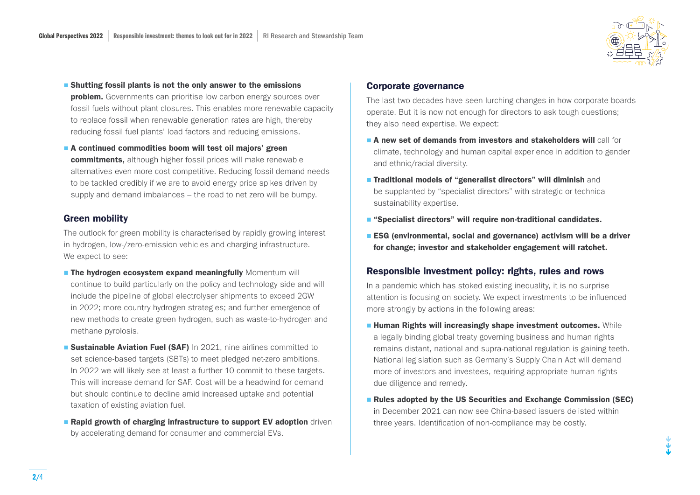

- **Shutting fossil plants is not the only answer to the emissions problem.** Governments can prioritise low carbon energy sources over fossil fuels without plant closures. This enables more renewable capacity to replace fossil when renewable generation rates are high, thereby reducing fossil fuel plants' load factors and reducing emissions.
- A continued commodities boom will test oil majors' green commitments, although higher fossil prices will make renewable alternatives even more cost competitive. Reducing fossil demand needs to be tackled credibly if we are to avoid energy price spikes driven by supply and demand imbalances – the road to net zero will be bumpy.

## Green mobility

The outlook for green mobility is characterised by rapidly growing interest in hydrogen, low-/zero-emission vehicles and charging infrastructure. We expect to see:

- **The hydrogen ecosystem expand meaningfully** Momentum will continue to build particularly on the policy and technology side and will include the pipeline of global electrolyser shipments to exceed 2GW in 2022; more country hydrogen strategies; and further emergence of new methods to create green hydrogen, such as waste-to-hydrogen and methane pyrolosis.
- **Sustainable Aviation Fuel (SAF)** In 2021, nine airlines committed to set science-based targets (SBTs) to meet pledged net-zero ambitions. In 2022 we will likely see at least a further 10 commit to these targets. This will increase demand for SAF. Cost will be a headwind for demand but should continue to decline amid increased uptake and potential taxation of existing aviation fuel.
- **Rapid growth of charging infrastructure to support EV adoption** driven by accelerating demand for consumer and commercial EVs.

#### Corporate governance

The last two decades have seen lurching changes in how corporate boards operate. But it is now not enough for directors to ask tough questions; they also need expertise. We expect:

- **A new set of demands from investors and stakeholders will call for** climate, technology and human capital experience in addition to gender and ethnic/racial diversity.
- **Traditional models of "generalist directors" will diminish** and be supplanted by "specialist directors" with strategic or technical sustainability expertise.
- "Specialist directors" will require non-traditional candidates.
- **ESG** (environmental, social and governance) activism will be a driver for change; investor and stakeholder engagement will ratchet.

## Responsible investment policy: rights, rules and rows

In a pandemic which has stoked existing inequality, it is no surprise attention is focusing on society. We expect investments to be influenced more strongly by actions in the following areas:

- **Human Rights will increasingly shape investment outcomes.** While a legally binding global treaty governing business and human rights remains distant, national and supra-national regulation is gaining teeth. National legislation such as Germany's Supply Chain Act will demand more of investors and investees, requiring appropriate human rights due diligence and remedy.
- **Rules adopted by the US Securities and Exchange Commission (SEC)** in December 2021 can now see China-based issuers delisted within three years. Identification of non-compliance may be costly.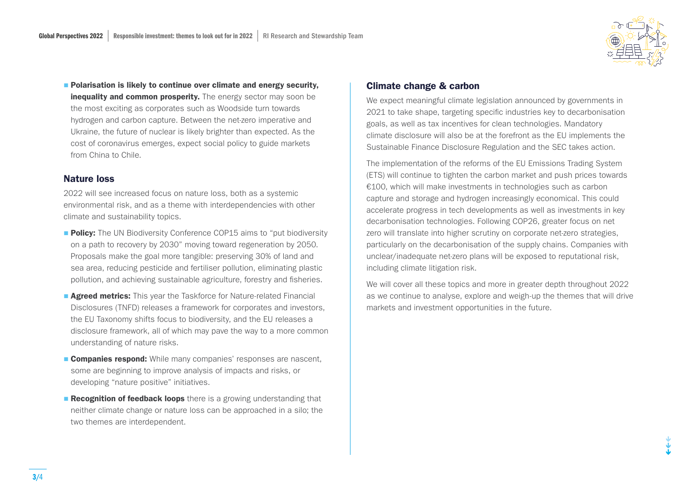

**Polarisation is likely to continue over climate and energy security,** inequality and common prosperity. The energy sector may soon be the most exciting as corporates such as Woodside turn towards hydrogen and carbon capture. Between the net-zero imperative and Ukraine, the future of nuclear is likely brighter than expected. As the cost of coronavirus emerges, expect social policy to guide markets from China to Chile.

## Nature loss

2022 will see increased focus on nature loss, both as a systemic environmental risk, and as a theme with interdependencies with other climate and sustainability topics.

- **Policy:** The UN Biodiversity Conference COP15 aims to "put biodiversity on a path to recovery by 2030" moving toward regeneration by 2050. Proposals make the goal more tangible: preserving 30% of land and sea area, reducing pesticide and fertiliser pollution, eliminating plastic pollution, and achieving sustainable agriculture, forestry and fisheries.
- **Agreed metrics:** This year the Taskforce for Nature-related Financial Disclosures (TNFD) releases a framework for corporates and investors, the EU Taxonomy shifts focus to biodiversity, and the EU releases a disclosure framework, all of which may pave the way to a more common understanding of nature risks.
- **Companies respond:** While many companies' responses are nascent, some are beginning to improve analysis of impacts and risks, or developing "nature positive" initiatives.
- **Recognition of feedback loops** there is a growing understanding that neither climate change or nature loss can be approached in a silo; the two themes are interdependent.

## Climate change & carbon

We expect meaningful climate legislation announced by governments in 2021 to take shape, targeting specific industries key to decarbonisation goals, as well as tax incentives for clean technologies. Mandatory climate disclosure will also be at the forefront as the EU implements the Sustainable Finance Disclosure Regulation and the SEC takes action.

The implementation of the reforms of the EU Emissions Trading System (ETS) will continue to tighten the carbon market and push prices towards €100, which will make investments in technologies such as carbon capture and storage and hydrogen increasingly economical. This could accelerate progress in tech developments as well as investments in key decarbonisation technologies. Following COP26, greater focus on net zero will translate into higher scrutiny on corporate net-zero strategies, particularly on the decarbonisation of the supply chains. Companies with unclear/inadequate net-zero plans will be exposed to reputational risk, including climate litigation risk.

We will cover all these topics and more in greater depth throughout 2022 as we continue to analyse, explore and weigh-up the themes that will drive markets and investment opportunities in the future.